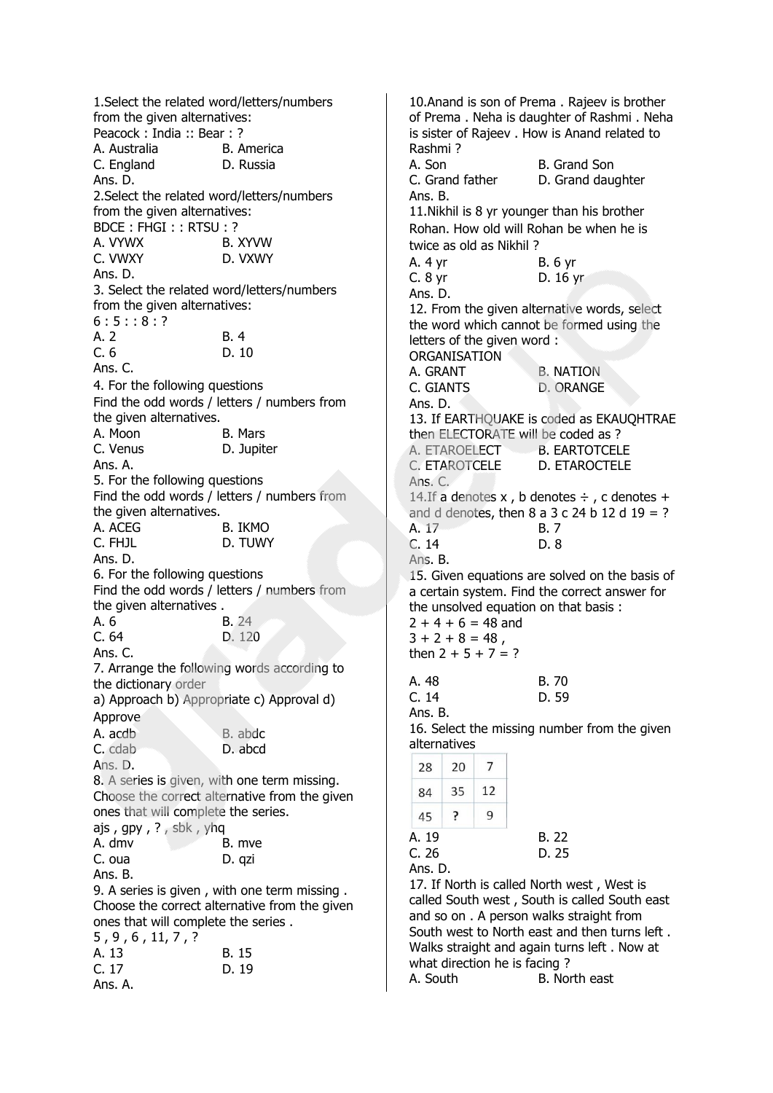1.Select the related word/letters/numbers from the given alternatives: Peacock : India :: Bear : ? A. Australia B. America C. England D. Russia Ans. D. 2.Select the related word/letters/numbers from the given alternatives: BDCE : FHGI : : RTSU : ? A. VYWX B. XYVW C. VWXY D. VXWY Ans. D. 3. Select the related word/letters/numbers from the given alternatives:  $6:5:3:8:?$  $A.2$   $B.4$ C. 6 D. 10 Ans. C. 4. For the following questions Find the odd words / letters / numbers from the given alternatives. A. Moon B. Mars C. Venus D. Jupiter Ans. A. 5. For the following questions Find the odd words / letters / numbers from the given alternatives. A. ACEG B. IKMO C. FHJL
D. TUWY
D. TUWY Ans. D. 6. For the following questions Find the odd words / letters / numbers from the given alternatives. A. 6 B. 24 C. 64 D. 120 Ans. C. 7. Arrange the following words according to the dictionary order a) Approach b) Appropriate c) Approval d) Approve A. acdb B. abdc. C. cdab D. abcd Ans. D. 8. A series is given, with one term missing. Choose the correct alternative from the given ones that will complete the series. ajs , gpy , ? , sbk , yhq A. dmv B. mve C. oua D. qzi Ans. B. 9. A series is given , with one term missing . Choose the correct alternative from the given ones that will complete the series . 5 , 9 , 6 , 11, 7 , ? A. 13 B. 15 C. 17 D. 19 Ans. A.

10.Anand is son of Prema . Rajeev is brother of Prema . Neha is daughter of Rashmi . Neha is sister of Rajeev . How is Anand related to Rashmi ? A. Son B. Grand Son C. Grand father D. Grand daughter Ans. B. 11.Nikhil is 8 yr younger than his brother Rohan. How old will Rohan be when he is twice as old as Nikhil ? A. 4 yr B. 6 yr C. 8 yr D. 16 yr Ans. D. 12. From the given alternative words, select the word which cannot be formed using the letters of the given word : ORGANISATION A. GRANT B. NATION C. GIANTS D. ORANGE Ans. D. 13. If EARTHQUAKE is coded as EKAUQHTRAE then ELECTORATE will be coded as ? A FTAROELECT B. FARTOTCELE C. ETAROTCELE D. ETAROCTELE Ans. C. 14.If a denotes  $x$ , b denotes  $\div$ , c denotes  $+$ and d denotes, then  $8$  a  $3$  c  $24$  b  $12$  d  $19 = ?$ A. 17 B. 7 C. 14 D. 8 Ans. B. 15. Given equations are solved on the basis of a certain system. Find the correct answer for the unsolved equation on that basis :  $2 + 4 + 6 = 48$  and  $3 + 2 + 8 = 48$ , then  $2 + 5 + 7 = ?$ A. 48 B. 70 C. 14 D. 59 Ans. B. 16. Select the missing number from the given alternatives  $20$  $\overline{7}$  $28$ 12  $84$ 35 45 ? 9 A. 19 B. 22 C. 26 D. 25 Ans. D. 17. If North is called North west , West is called South west , South is called South east and so on . A person walks straight from South west to North east and then turns left . Walks straight and again turns left . Now at what direction he is facing?

A. South B. North east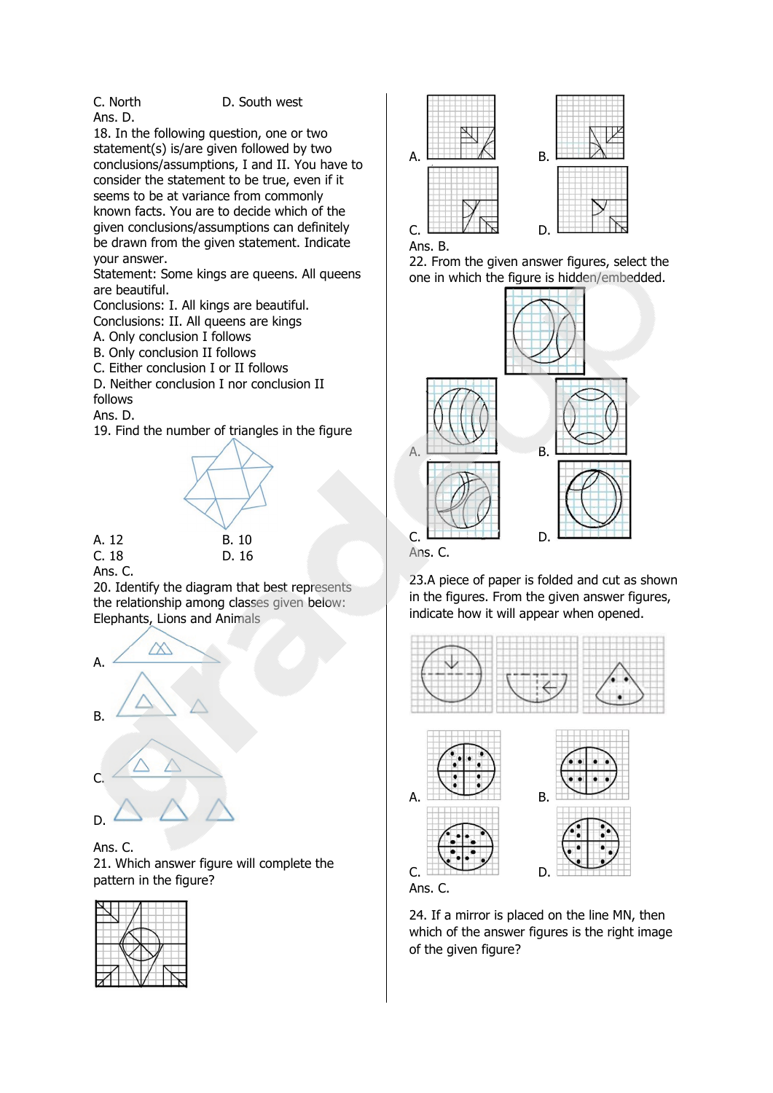Ans. D.

C. North D. South west

18. In the following question, one or two statement(s) is/are given followed by two conclusions/assumptions, I and II. You have to consider the statement to be true, even if it seems to be at variance from commonly known facts. You are to decide which of the given conclusions/assumptions can definitely be drawn from the given statement. Indicate your answer.

Statement: Some kings are queens. All queens are beautiful.

Conclusions: I. All kings are beautiful.

Conclusions: II. All queens are kings

A. Only conclusion I follows B. Only conclusion II follows

C. Either conclusion I or II follows

D. Neither conclusion I nor conclusion II follows

Ans. D.

19. Find the number of triangles in the figure



Ans. C.

20. Identify the diagram that best represents the relationship among classes given below: Elephants, Lions and Animals



Ans. C.

21. Which answer figure will complete the pattern in the figure?







22. From the given answer figures, select the one in which the figure is hidden/embedded.



23.A piece of paper is folded and cut as shown in the figures. From the given answer figures, indicate how it will appear when opened.





24. If a mirror is placed on the line MN, then which of the answer figures is the right image of the given figure?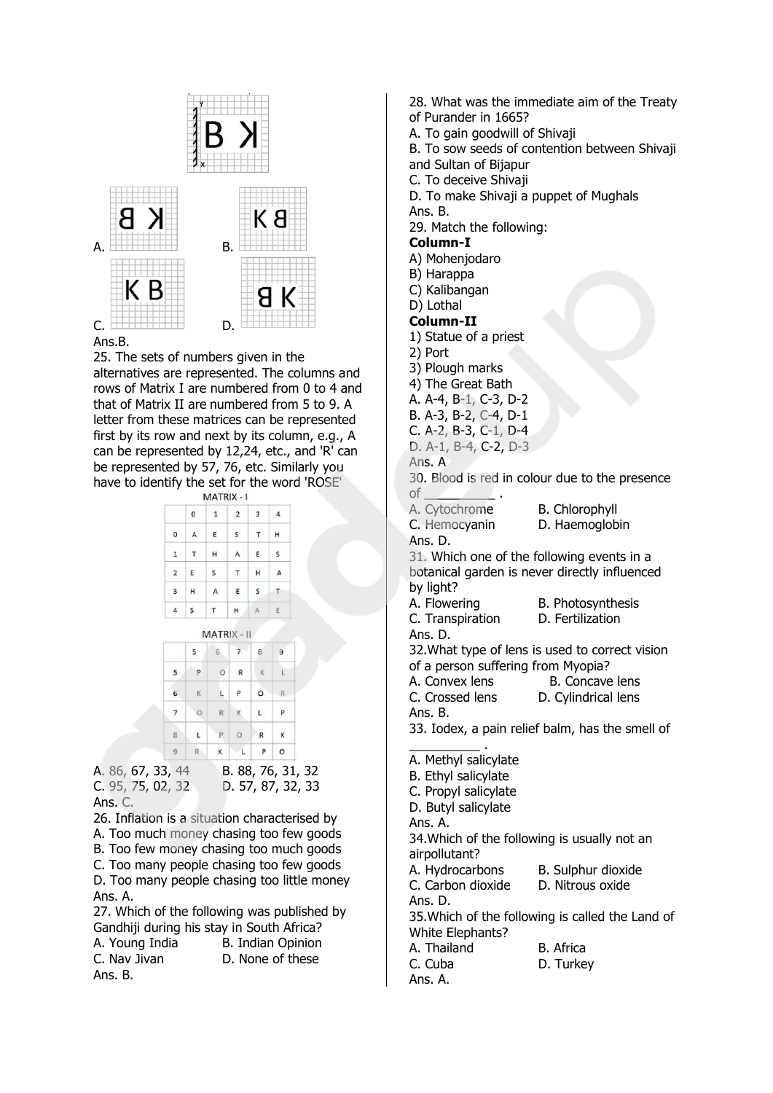

## Ans.B.

25. The sets of numbers given in the alternatives are represented. The columns and rows of Matrix I are numbered from 0 to 4 and that of Matrix II are numbered from 5 to 9. A letter from these matrices can be represented first by its row and next by its column, e.g., A can be represented by 12,24, etc., and 'R' can be represented by 57, 76, etc. Similarly you have to identify the set for the word 'ROSE'

|                         |             | MATRIX - I   |                |   |   |
|-------------------------|-------------|--------------|----------------|---|---|
|                         | $\mathbf 0$ | $\mathbf{1}$ | $\overline{2}$ | 3 | 4 |
| 0                       | A           | E            | s              | Τ | н |
| $\mathbf{1}$            | т           | н            | А              | E | s |
| $\overline{\mathbf{2}}$ | E           | S            | $\top$         | н | А |
| 3                       | н           | A            | E              | s | т |
| 4                       | s           | T            | н              | Δ | Ε |

|                | 5            | 6       |              | 8        |         |
|----------------|--------------|---------|--------------|----------|---------|
| 5              | p            | $\circ$ | $\mathsf{R}$ | $\kappa$ |         |
| 6              | K            | L.      | P            | $\circ$  | R       |
| $\overline{7}$ | $\circ$      | R.      | K            | L.       | P       |
| 8              | $\mathbf{L}$ | P       | $\circ$      | R        | К       |
| 9              | R            | ĸ       | L            | P.       | $\circ$ |

A. 86, 67, 33, 44 B. 88, 76, 31, 32 C. 95, 75, 02, 32 D. 57, 87, 32, 33 Ans. C.

26. Inflation is a situation characterised by

- A. Too much money chasing too few goods
- B. Too few money chasing too much goods

C. Too many people chasing too few goods D. Too many people chasing too little money Ans. A.

27. Which of the following was published by Gandhiji during his stay in South Africa? A. Young India B. Indian Opinion C. Nav Jivan D. None of these Ans. B.

28. What was the immediate aim of the Treaty of Purander in 1665? A. To gain goodwill of Shivaji B. To sow seeds of contention between Shivaji and Sultan of Bijapur C. To deceive Shivaji D. To make Shivaji a puppet of Mughals Ans. B. 29. Match the following: **Column-I** A) Mohenjodaro B) Harappa C) Kalibangan D) Lothal **Column-II** 1) Statue of a priest 2) Port 3) Plough marks 4) The Great Bath A. A-4, B-1, C-3, D-2 B. A-3, B-2, C-4, D-1 C. A-2, B-3, C-1, D-4 D. A-1, B-4, C-2, D-3 Ans. A 30. Blood is red in colour due to the presence  $of$ A. Cytochrome **B. Chlorophyll** C. Hemocyanin D. Haemoglobin Ans. D. 31. Which one of the following events in a botanical garden is never directly influenced by light? A. Flowering B. Photosynthesis C. Transpiration D. Fertilization Ans. D. 32.What type of lens is used to correct vision of a person suffering from Myopia? A. Convex lens B. Concave lens C. Crossed lens D. Cylindrical lens Ans. B. 33. Iodex, a pain relief balm, has the smell of \_\_\_\_\_\_\_\_\_\_ . A. Methyl salicylate B. Ethyl salicylate C. Propyl salicylate D. Butyl salicylate Ans. A. 34.Which of the following is usually not an airpollutant? A. Hydrocarbons B. Sulphur dioxide C. Carbon dioxide D. Nitrous oxide Ans. D. 35.Which of the following is called the Land of White Elephants? A. Thailand B. Africa C. Cuba D. Turkey Ans. A.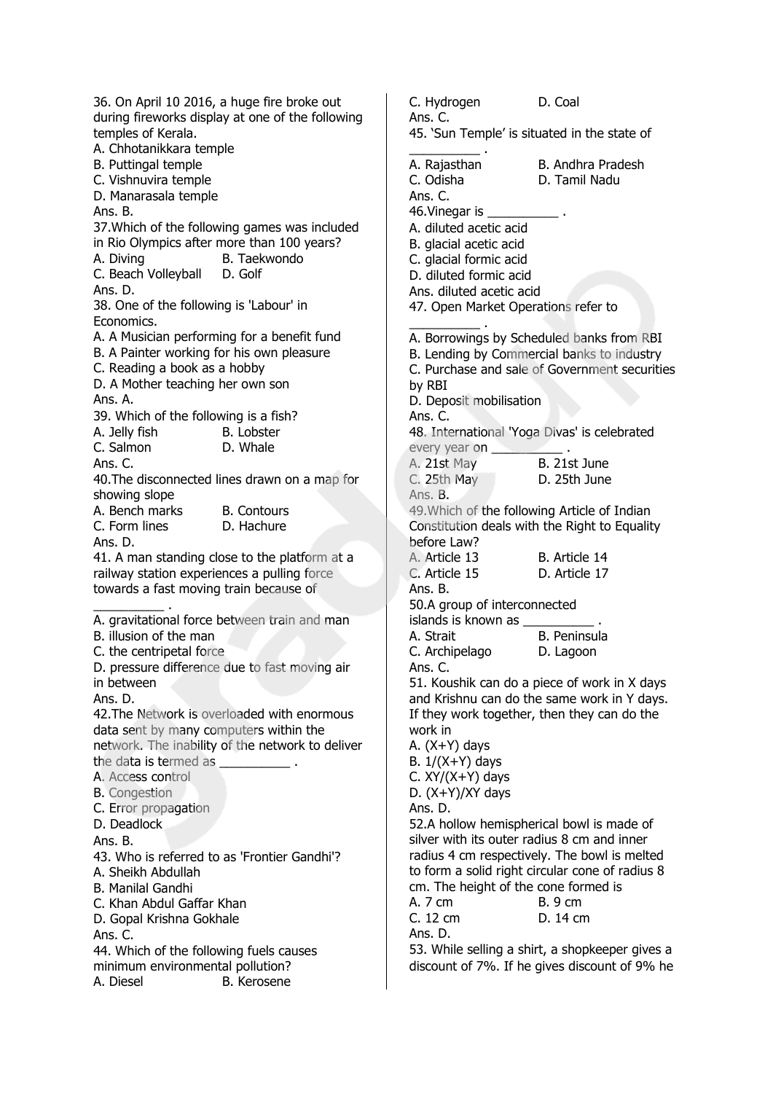36. On April 10 2016, a huge fire broke out during fireworks display at one of the following temples of Kerala. A. Chhotanikkara temple B. Puttingal temple C. Vishnuvira temple D. Manarasala temple Ans. B. 37.Which of the following games was included in Rio Olympics after more than 100 years? A. Diving B. Taekwondo C. Beach Volleyball D. Golf Ans. D. 38. One of the following is 'Labour' in Economics. A. A Musician performing for a benefit fund B. A Painter working for his own pleasure C. Reading a book as a hobby D. A Mother teaching her own son Ans. A. 39. Which of the following is a fish? A. Jelly fish B. Lobster C. Salmon D. Whale Ans. C. 40.The disconnected lines drawn on a map for showing slope A. Bench marks B. Contours C. Form lines D. Hachure Ans. D. 41. A man standing close to the platform at a railway station experiences a pulling force towards a fast moving train because of \_\_\_\_\_\_\_\_\_\_ . A. gravitational force between train and man B. illusion of the man C. the centripetal force D. pressure difference due to fast moving air in between Ans. D. 42.The Network is overloaded with enormous data sent by many computers within the network. The inability of the network to deliver the data is termed as A. Access control B. Congestion C. Error propagation D. Deadlock Ans. B. 43. Who is referred to as 'Frontier Gandhi'? A. Sheikh Abdullah B. Manilal Gandhi C. Khan Abdul Gaffar Khan D. Gopal Krishna Gokhale Ans. C. 44. Which of the following fuels causes minimum environmental pollution? A. Diesel B. Kerosene

C. Hydrogen D. Coal Ans. C. 45. 'Sun Temple' is situated in the state of \_\_\_\_\_\_\_\_\_\_ . A. Rajasthan B. Andhra Pradesh C. Odisha D. Tamil Nadu Ans. C. 46. Vinegar is \_ A. diluted acetic acid B. glacial acetic acid C. glacial formic acid D. diluted formic acid Ans. diluted acetic acid 47. Open Market Operations refer to \_\_\_\_\_\_\_\_\_\_ . A. Borrowings by Scheduled banks from RBI B. Lending by Commercial banks to industry C. Purchase and sale of Government securities by RBI D. Deposit mobilisation Ans. C. 48. International 'Yoga Divas' is celebrated every year on A. 21st May B. 21st June C. 25th May D. 25th June Ans. B. 49.Which of the following Article of Indian Constitution deals with the Right to Equality before Law? A. Article 13 B. Article 14 C. Article 15 D. Article 17 Ans. B. 50.A group of interconnected islands is known as \_ A. Strait B. Peninsula C. Archipelago D. Lagoon Ans. C. 51. Koushik can do a piece of work in X days and Krishnu can do the same work in Y days. If they work together, then they can do the work in A. (X+Y) days B.  $1/(X+Y)$  days C.  $XY/(X+Y)$  days D. (X+Y)/XY days Ans. D. 52.A hollow hemispherical bowl is made of silver with its outer radius 8 cm and inner radius 4 cm respectively. The bowl is melted to form a solid right circular cone of radius 8 cm. The height of the cone formed is A. 7 cm B. 9 cm C. 12 cm D. 14 cm Ans. D. 53. While selling a shirt, a shopkeeper gives a

discount of 7%. If he gives discount of 9% he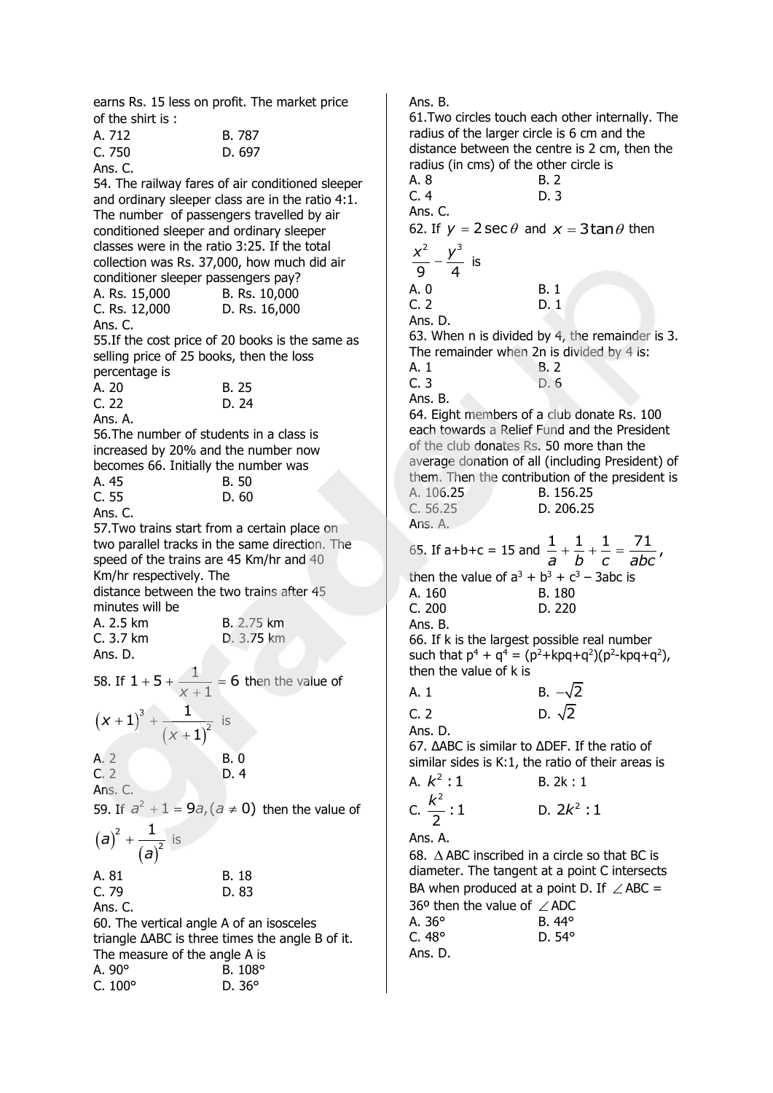earns Rs. 15 less on profit. The market price of the shirt is :

| A. 712               | B. 787 |
|----------------------|--------|
| C. 750               | D. 697 |
| $\Delta$ nc $\Gamma$ |        |

Ans. C. 54. The railway fares of air conditioned sleeper and ordinary sleeper class are in the ratio 4:1. The number of passengers travelled by air conditioned sleeper and ordinary sleeper classes were in the ratio 3:25. If the total collection was Rs. 37,000, how much did air conditioner sleeper passengers pay? A. Rs. 15,000 B. Rs. 10,000 C. Rs. 12,000 D. Rs. 16,000 Ans. C. 55.If the cost price of 20 books is the same as selling price of 25 books, then the loss percentage is A. 20 B. 25 C. 22 D. 24 Ans. A. 56.The number of students in a class is increased by 20% and the number now becomes 66. Initially the number was A. 45 B. 50 C. 55 D. 60 Ans. C. 57.Two trains start from a certain place on two parallel tracks in the same direction. The speed of the trains are 45 Km/hr and 40 Km/hr respectively. The distance between the two trains after 45 minutes will be A. 2.5 km B. 2.75 km C. 3.7 km D. 3.75 km Ans. D. 58. If  $1+5+\frac{1}{1}=6$  $x + 1$  $+5+\frac{1}{2}=6$  $\frac{1}{x+1}$  = 6 then the value of  $(x+1)$  $(x+1)$ 3 2  $1)^3 + \frac{1}{2}$ 1 *x x*  $+1)^3 + ^{+}$ is A. 2 B. 0 C. 2 D. 4 Ans. C. 59. If  $a^2 + 1 = 9a$ ,  $(a \ne 0)$  then the value of  $(a)$  $(a)$ 2 2  $a)^2 + \frac{1}{2}$ *a*  $+\frac{1}{\sqrt{2}}$  is A. 81 B. 18 C. 79 D. 83 Ans. C. 60. The vertical angle A of an isosceles triangle ΔABC is three times the angle B of it. The measure of the angle A is

| A. $90^\circ$    | B. 108°       |
|------------------|---------------|
| $C. 100^{\circ}$ | D. $36^\circ$ |

Ans. B. 61.Two circles touch each other internally. The radius of the larger circle is 6 cm and the distance between the centre is 2 cm, then the radius (in cms) of the other circle is A. 8 B. 2 C. 4 D. 3 Ans. C. 62. If  $y = 2 \sec \theta$  and  $x = 3 \tan \theta$  then 2 3 9 4  $\frac{x^2}{2} - \frac{y^3}{4}$  is A. 0 B. 1 C. 2 D. 1 Ans. D. 63. When n is divided by 4, the remainder is 3. The remainder when 2n is divided by 4 is: A. 1 B. 2 C. 3 D. 6 Ans. B. 64. Eight members of a club donate Rs. 100 each towards a Relief Fund and the President of the club donates Rs. 50 more than the average donation of all (including President) of them. Then the contribution of the president is A. 106.25 B. 156.25 C. 56.25 D. 206.25 Ans. A. 65. If a+b+c = 15 and  $\frac{1}{a} + \frac{1}{b} + \frac{1}{c} = \frac{71}{abc}$  $+\frac{1}{L}+\frac{1}{L}=$ then the value of  $a^3 + b^3 + c^3 - 3abc$  is A. 160 B. 180 C. 200 D. 220 Ans. B. 66. If k is the largest possible real number such that  $p^4 + q^4 = (p^2 + kpq + q^2)(p^2 - kpq + q^2)$ , then the value of k is A. 1 B.  $-\sqrt{2}$  $C. 2$  $D. \sqrt{2}$ Ans. D. 67. ΔABC is similar to ΔDEF. If the ratio of similar sides is K:1, the ratio of their areas is A. <sup>2</sup> *k* :1 B. 2k : 1 C. 2 :1 2 *k* D.  $2k^2:1$ Ans. A. 68. ABC inscribed in a circle so that BC is diameter. The tangent at a point C intersects BA when produced at a point D. If  $\angle$  ABC = 36° then the value of  $\angle$  ADC A. 36° B. 44° C. 48° D. 54° Ans. D.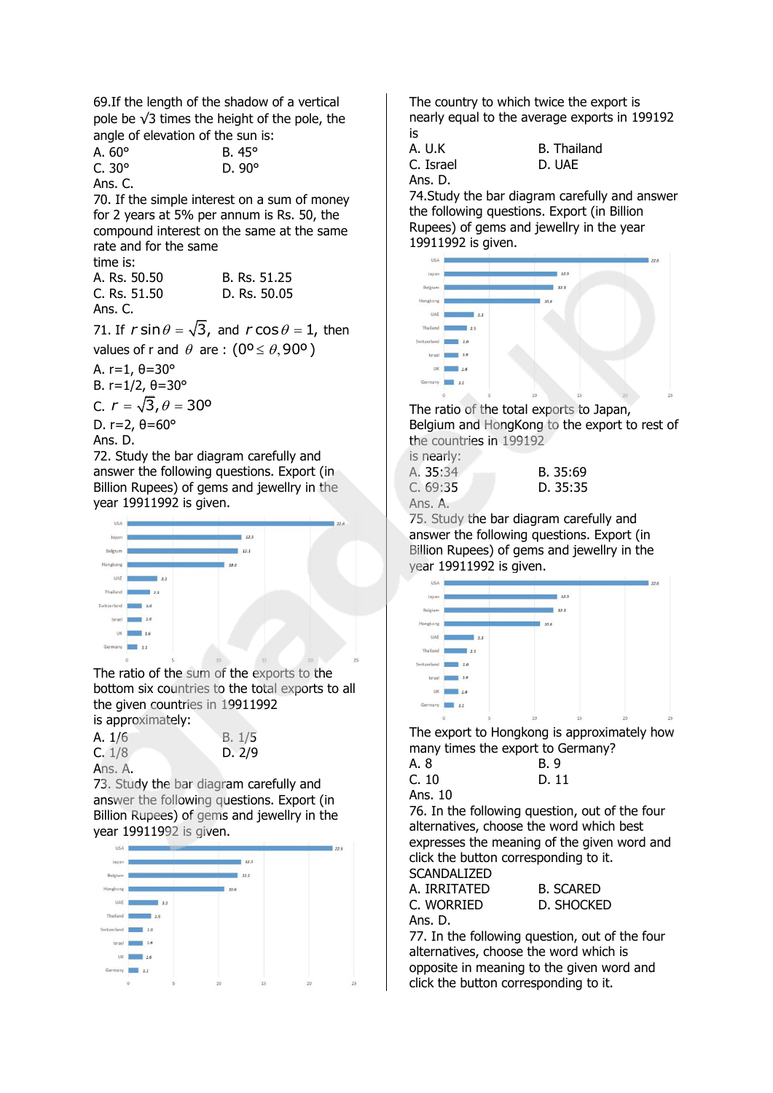69.If the length of the shadow of a vertical pole be √3 times the height of the pole, the angle of elevation of the sun is:

| A. $60^\circ$ | $B.45^\circ$  |
|---------------|---------------|
| $C.30^\circ$  | D. $90^\circ$ |
|               |               |

Ans. C. 70. If the simple interest on a sum of money for 2 years at 5% per annum is Rs. 50, the compound interest on the same at the same rate and for the same time is:

| יכו הווה     |              |
|--------------|--------------|
| A. Rs. 50.50 | B. Rs. 51.25 |
| C. Rs. 51.50 | D. Rs. 50.05 |
| Ans. C.      |              |

71. If  $r \sin \theta = \sqrt{3}$ , and  $r \cos \theta = 1$ , then values of r and  $\theta$  are :  $(0^{\circ} \le \theta, 90^{\circ})$ 

A. r=1, θ=30° B.  $r=1/2$ ,  $θ=30°$ 

C.  $r = \sqrt{3}$ ,  $\theta = 30^{\circ}$ 

D. r=2, θ=60°

Ans. D.

72. Study the bar diagram carefully and answer the following questions. Export (in Billion Rupees) of gems and jewellry in the year 19911992 is given.

| USA         |         |     |        |        |        | 22.6 |
|-------------|---------|-----|--------|--------|--------|------|
| Japan       |         |     |        | 12.5   |        |      |
| Belgium     |         |     |        | 12.1   |        |      |
| Hongkong    |         |     | 10.6   |        |        |      |
| UAE         |         | 3.3 |        |        |        |      |
| Thailand    | 2.5     |     |        |        |        |      |
| Switzerland | 2.6     |     |        |        |        |      |
| Israel      | $1.6\,$ |     |        |        |        |      |
| UK          | $1.6\,$ |     |        |        |        |      |
| Germany     | 1.1     |     |        |        |        |      |
|             | 0       | 5   | $10\,$ | $15\,$ | $20\,$ | 25   |

The ratio of the sum of the exports to the bottom six countries to the total exports to all the given countries in 19911992 is approximately:

| A. 1/6  | B. 1/5 |
|---------|--------|
| C. 1/8  | D. 2/9 |
| Ans. A. |        |

73. Study the bar diagram carefully and answer the following questions. Export (in Billion Rupees) of gems and jewellry in the year 19911992 is given.



The country to which twice the export is nearly equal to the average exports in 199192 is

Ans. D.

A. U.K B. Thailand C. Israel D. UAE

74.Study the bar diagram carefully and answer the following questions. Export (in Billion Rupees) of gems and jewellry in the year 19911992 is given.



The ratio of the total exports to Japan, Belgium and HongKong to the export to rest of the countries in 199192

| is nearly:       |          |
|------------------|----------|
| A. <b>35:</b> 34 | B. 35:69 |
| C. 69:35         | D. 35:35 |
| Ans. A.          |          |

75. Study the bar diagram carefully and answer the following questions. Export (in Billion Rupees) of gems and jewellry in the year 19911992 is given.



The export to Hongkong is approximately how many times the export to Germany?

| A. 8 | <b>B.</b> 9 |
|------|-------------|
| C.10 | D. 11       |

Ans. 10

76. In the following question, out of the four alternatives, choose the word which best expresses the meaning of the given word and click the button corresponding to it. SCANDALIZED

> **SCARED SHOCKED**

| JUNIVALILLU  |    |
|--------------|----|
| A. IRRITATED | В. |
| C. Worried   | D. |
| Ans. D.      |    |

77. In the following question, out of the four alternatives, choose the word which is opposite in meaning to the given word and click the button corresponding to it.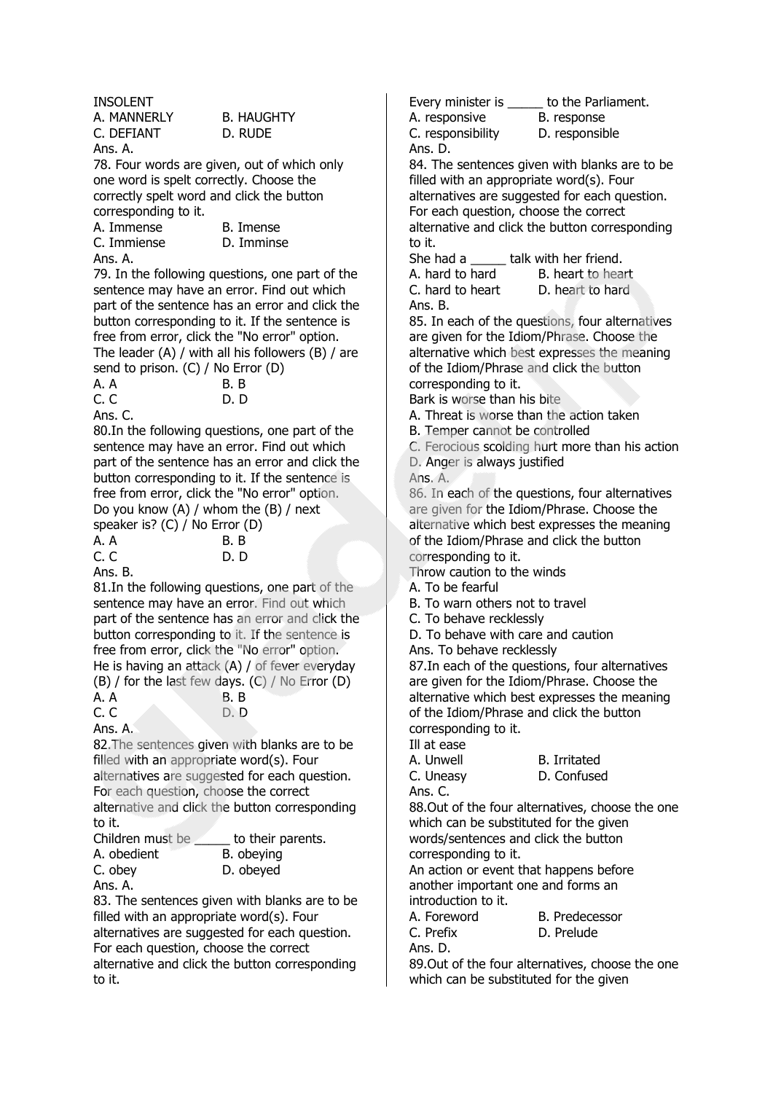INSOLENT

| A. MANNERLY | <b>B. HAUGHTY</b> |
|-------------|-------------------|
| C. DEFIANT  | D. RUDE           |
| Ans. A.     |                   |

78. Four words are given, out of which only one word is spelt correctly. Choose the correctly spelt word and click the button corresponding to it.

| A. Immense  | B. Imense  |
|-------------|------------|
| C. Immiense | D. Imminse |
| Ans. A.     |            |

79. In the following questions, one part of the sentence may have an error. Find out which part of the sentence has an error and click the button corresponding to it. If the sentence is free from error, click the "No error" option. The leader (A) / with all his followers (B) / are send to prison. (C) / No Error (D)

| A. A | $\cdot$ $\cdot$ $\cdot$ | B.B  |  |
|------|-------------------------|------|--|
| C.C  |                         | D. D |  |
|      |                         |      |  |

Ans. C.

80.In the following questions, one part of the sentence may have an error. Find out which part of the sentence has an error and click the button corresponding to it. If the sentence is free from error, click the "No error" option. Do you know (A) / whom the (B) / next  $s_{\text{other}}$  is?  $\overrightarrow{C}$   $\overrightarrow{I}$  No Error  $\overrightarrow{D}$ 

|           | Speaker is: $(U)$ / INO EITOR (D) |
|-----------|-----------------------------------|
| A. A      | B.B                               |
| C. C      | D. D                              |
| $A_{n,n}$ |                                   |

Ans. B.

81.In the following questions, one part of the sentence may have an error. Find out which part of the sentence has an error and click the button corresponding to it. If the sentence is free from error, click the "No error" option. He is having an attack (A) / of fever everyday (B) / for the last few days. (C) / No Error (D)

| .<br>A. A                | B.B |
|--------------------------|-----|
| C. C                     | D.D |
| $\overline{\phantom{a}}$ |     |

Ans. A.

82.The sentences given with blanks are to be filled with an appropriate word(s). Four alternatives are suggested for each question. For each question, choose the correct alternative and click the button corresponding to it.

| Children must be | to their parents. |
|------------------|-------------------|
| A. obedient      | B. obeying        |
| C. obey          | D. obeyed         |
| Ans. A.          |                   |

83. The sentences given with blanks are to be filled with an appropriate word(s). Four alternatives are suggested for each question. For each question, choose the correct alternative and click the button corresponding to it.

Every minister is \_\_\_\_\_ to the Parliament.

A. responsive B. response

C. responsibility D. responsible

Ans. D. 84. The sentences given with blanks are to be filled with an appropriate word(s). Four alternatives are suggested for each question. For each question, choose the correct alternative and click the button corresponding to it.

She had a \_\_\_\_\_\_ talk with her friend.

| A. hard to hard  | B. heart to heart |
|------------------|-------------------|
| C. hard to heart | D. heart to hard  |
| Ans. B.          |                   |

85. In each of the questions, four alternatives are given for the Idiom/Phrase. Choose the alternative which best expresses the meaning of the Idiom/Phrase and click the button corresponding to it.

Bark is worse than his bite

A. Threat is worse than the action taken

B. Temper cannot be controlled

C. Ferocious scolding hurt more than his action D. Anger is always justified

Ans. A.

86. In each of the questions, four alternatives are given for the Idiom/Phrase. Choose the alternative which best expresses the meaning of the Idiom/Phrase and click the button corresponding to it.

Throw caution to the winds

A. To be fearful

B. To warn others not to travel

C. To behave recklessly

D. To behave with care and caution

Ans. To behave recklessly

87.In each of the questions, four alternatives are given for the Idiom/Phrase. Choose the alternative which best expresses the meaning of the Idiom/Phrase and click the button corresponding to it.

Ill at ease

A. Unwell B. Irritated C. Uneasy D. Confused Ans. C.

88.Out of the four alternatives, choose the one which can be substituted for the given words/sentences and click the button corresponding to it.

An action or event that happens before another important one and forms an introduction to it.

| A. Foreword | <b>B.</b> Predecessor |
|-------------|-----------------------|
| C. Prefix   | D. Prelude            |
| Ans. D.     |                       |

89.Out of the four alternatives, choose the one which can be substituted for the given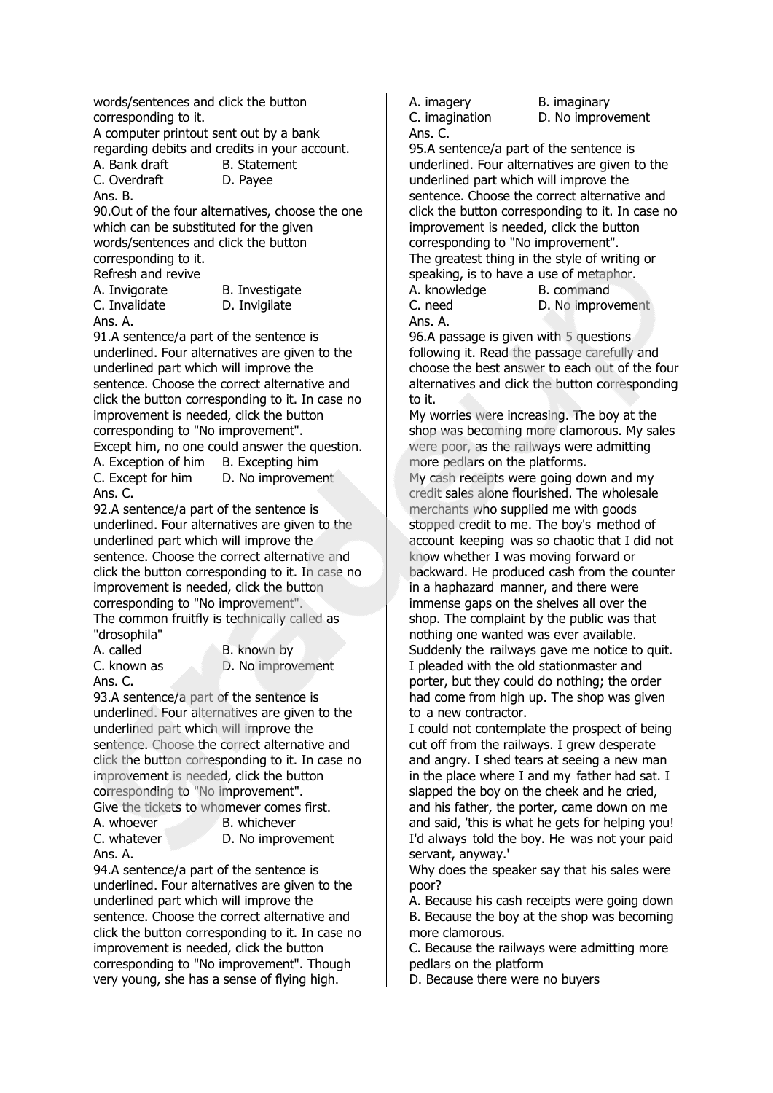words/sentences and click the button corresponding to it.

A computer printout sent out by a bank

regarding debits and credits in your account. A. Bank draft B. Statement

C. Overdraft D. Payee Ans. B.

90.Out of the four alternatives, choose the one which can be substituted for the given words/sentences and click the button corresponding to it.

Refresh and revive

C. Invalidate D. Invigilate Ans. A.

A. Invigorate B. Investigate

91.A sentence/a part of the sentence is underlined. Four alternatives are given to the underlined part which will improve the sentence. Choose the correct alternative and click the button corresponding to it. In case no improvement is needed, click the button corresponding to "No improvement".

Except him, no one could answer the question.

A. Exception of him B. Excepting him C. Except for him D. No improvement Ans. C.

92.A sentence/a part of the sentence is underlined. Four alternatives are given to the underlined part which will improve the sentence. Choose the correct alternative and click the button corresponding to it. In case no improvement is needed, click the button corresponding to "No improvement". The common fruitfly is technically called as "drosophila"

Ans. C.

A. called B. known by C. known as D. No improvement

93.A sentence/a part of the sentence is underlined. Four alternatives are given to the underlined part which will improve the sentence. Choose the correct alternative and click the button corresponding to it. In case no improvement is needed, click the button corresponding to "No improvement".

Give the tickets to whomever comes first. A. whoever B. whichever

Ans. A.

C. whatever D. No improvement

94.A sentence/a part of the sentence is underlined. Four alternatives are given to the underlined part which will improve the sentence. Choose the correct alternative and click the button corresponding to it. In case no improvement is needed, click the button corresponding to "No improvement". Though very young, she has a sense of flying high.

A. imagery B. imaginary Ans. C.

C. imagination D. No improvement

95.A sentence/a part of the sentence is underlined. Four alternatives are given to the underlined part which will improve the sentence. Choose the correct alternative and click the button corresponding to it. In case no improvement is needed, click the button corresponding to "No improvement". The greatest thing in the style of writing or speaking, is to have a use of metaphor.

A. knowledge B. command

C. need D. No improvement Ans. A.

96.A passage is given with 5 questions following it. Read the passage carefully and choose the best answer to each out of the four alternatives and click the button corresponding to it.

My worries were increasing. The boy at the shop was becoming more clamorous. My sales were poor, as the railways were admitting more pedlars on the platforms.

My cash receipts were going down and my credit sales alone flourished. The wholesale merchants who supplied me with goods stopped credit to me. The boy's method of account keeping was so chaotic that I did not know whether I was moving forward or backward. He produced cash from the counter in a haphazard manner, and there were immense gaps on the shelves all over the shop. The complaint by the public was that nothing one wanted was ever available. Suddenly the railways gave me notice to quit. I pleaded with the old stationmaster and porter, but they could do nothing; the order had come from high up. The shop was given to a new contractor.

I could not contemplate the prospect of being cut off from the railways. I grew desperate and angry. I shed tears at seeing a new man in the place where I and my father had sat. I slapped the boy on the cheek and he cried, and his father, the porter, came down on me and said, 'this is what he gets for helping you! I'd always told the boy. He was not your paid servant, anyway.'

Why does the speaker say that his sales were poor?

A. Because his cash receipts were going down B. Because the boy at the shop was becoming more clamorous.

C. Because the railways were admitting more pedlars on the platform

D. Because there were no buyers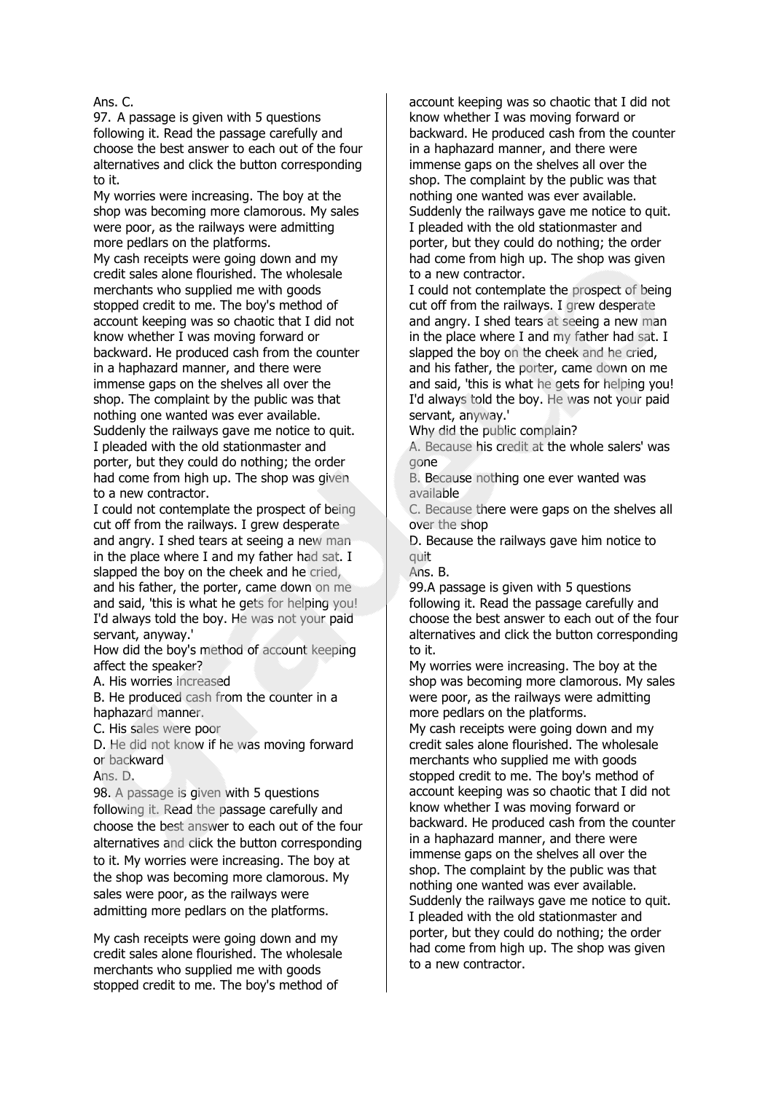Ans. C.

97. A passage is given with 5 questions following it. Read the passage carefully and choose the best answer to each out of the four alternatives and click the button corresponding to it.

My worries were increasing. The boy at the shop was becoming more clamorous. My sales were poor, as the railways were admitting more pedlars on the platforms.

My cash receipts were going down and my credit sales alone flourished. The wholesale merchants who supplied me with goods stopped credit to me. The boy's method of account keeping was so chaotic that I did not know whether I was moving forward or backward. He produced cash from the counter in a haphazard manner, and there were immense gaps on the shelves all over the shop. The complaint by the public was that nothing one wanted was ever available. Suddenly the railways gave me notice to quit. I pleaded with the old stationmaster and porter, but they could do nothing; the order had come from high up. The shop was given to a new contractor.

I could not contemplate the prospect of being cut off from the railways. I grew desperate and angry. I shed tears at seeing a new man in the place where I and my father had sat. I slapped the boy on the cheek and he cried, and his father, the porter, came down on me and said, 'this is what he gets for helping you! I'd always told the boy. He was not your paid servant, anyway.'

How did the boy's method of account keeping affect the speaker?

A. His worries increased

B. He produced cash from the counter in a haphazard manner.

C. His sales were poor

D. He did not know if he was moving forward or backward

Ans. D.

98. A passage is given with 5 questions following it. Read the passage carefully and choose the best answer to each out of the four alternatives and click the button corresponding to it. My worries were increasing. The boy at the shop was becoming more clamorous. My sales were poor, as the railways were admitting more pedlars on the platforms.

My cash receipts were going down and my credit sales alone flourished. The wholesale merchants who supplied me with goods stopped credit to me. The boy's method of

account keeping was so chaotic that I did not know whether I was moving forward or backward. He produced cash from the counter in a haphazard manner, and there were immense gaps on the shelves all over the shop. The complaint by the public was that nothing one wanted was ever available. Suddenly the railways gave me notice to quit. I pleaded with the old stationmaster and porter, but they could do nothing; the order had come from high up. The shop was given to a new contractor.

I could not contemplate the prospect of being cut off from the railways. I grew desperate and angry. I shed tears at seeing a new man in the place where I and my father had sat. I slapped the boy on the cheek and he cried, and his father, the porter, came down on me and said, 'this is what he gets for helping you! I'd always told the boy. He was not your paid servant, anyway.'

Why did the public complain?

A. Because his credit at the whole salers' was gone

B. Because nothing one ever wanted was available

C. Because there were gaps on the shelves all over the shop

D. Because the railways gave him notice to quit

Ans. B.

99.A passage is given with 5 questions following it. Read the passage carefully and choose the best answer to each out of the four alternatives and click the button corresponding to it.

My worries were increasing. The boy at the shop was becoming more clamorous. My sales were poor, as the railways were admitting more pedlars on the platforms.

My cash receipts were going down and my credit sales alone flourished. The wholesale merchants who supplied me with goods stopped credit to me. The boy's method of account keeping was so chaotic that I did not know whether I was moving forward or backward. He produced cash from the counter in a haphazard manner, and there were immense gaps on the shelves all over the shop. The complaint by the public was that nothing one wanted was ever available. Suddenly the railways gave me notice to quit. I pleaded with the old stationmaster and porter, but they could do nothing; the order had come from high up. The shop was given to a new contractor.